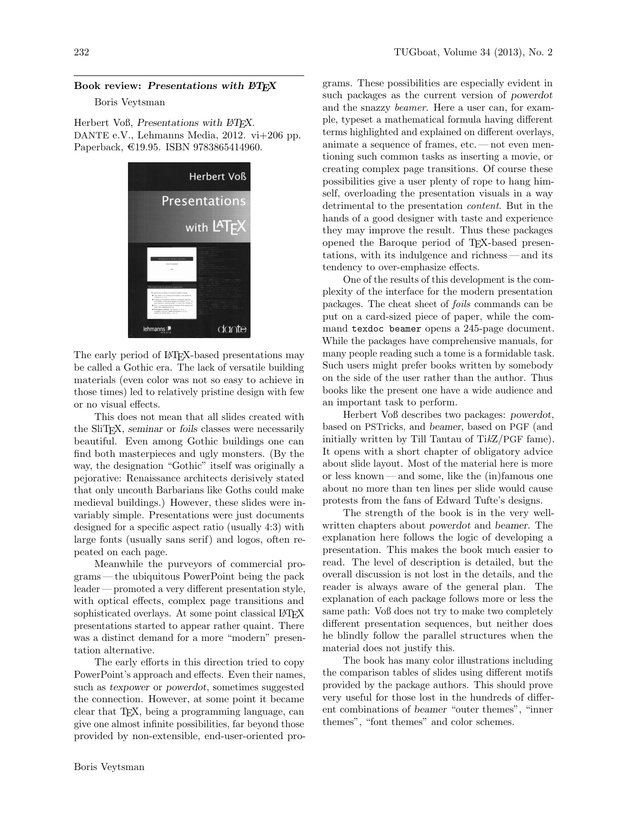## Book review: Presentations with  $EFT$

## Boris Veytsman

Herbert Voß, Presentations with L<sup>AT</sup>EX. DANTE e.V., Lehmanns Media, 2012. vi+206 pp. Paperback, €19.95. ISBN 9783865414960.



The early period of L<sup>AT</sup>FX-based presentations may be called a Gothic era. The lack of versatile building materials (even color was not so easy to achieve in those times) led to relatively pristine design with few or no visual effects.

This does not mean that all slides created with the SliT<sub>E</sub>X, seminar or foils classes were necessarily beautiful. Even among Gothic buildings one can find both masterpieces and ugly monsters. (By the way, the designation "Gothic" itself was originally a pejorative: Renaissance architects derisively stated that only uncouth Barbarians like Goths could make medieval buildings.) However, these slides were invariably simple. Presentations were just documents designed for a specific aspect ratio (usually 4:3) with large fonts (usually sans serif) and logos, often repeated on each page.

Meanwhile the purveyors of commercial programs— the ubiquitous PowerPoint being the pack leader — promoted a very different presentation style, with optical effects, complex page transitions and sophisticated overlays. At some point classical LAT<sub>EX</sub> presentations started to appear rather quaint. There was a distinct demand for a more "modern" presentation alternative.

The early efforts in this direction tried to copy PowerPoint's approach and effects. Even their names, such as texpower or powerdot, sometimes suggested the connection. However, at some point it became clear that TEX, being a programming language, can give one almost infinite possibilities, far beyond those provided by non-extensible, end-user-oriented pro-

grams. These possibilities are especially evident in such packages as the current version of powerdot and the snazzy beamer. Here a user can, for example, typeset a mathematical formula having different terms highlighted and explained on different overlays, animate a sequence of frames, etc.— not even mentioning such common tasks as inserting a movie, or creating complex page transitions. Of course these possibilities give a user plenty of rope to hang himself, overloading the presentation visuals in a way detrimental to the presentation content. But in the hands of a good designer with taste and experience they may improve the result. Thus these packages opened the Baroque period of TEX-based presentations, with its indulgence and richness— and its tendency to over-emphasize effects.

One of the results of this development is the complexity of the interface for the modern presentation packages. The cheat sheet of foils commands can be put on a card-sized piece of paper, while the command texdoc beamer opens a 245-page document. While the packages have comprehensive manuals, for many people reading such a tome is a formidable task. Such users might prefer books written by somebody on the side of the user rather than the author. Thus books like the present one have a wide audience and an important task to perform.

Herbert Voß describes two packages: powerdot, based on PSTricks, and beamer, based on PGF (and initially written by Till Tantau of TikZ/PGF fame). It opens with a short chapter of obligatory advice about slide layout. Most of the material here is more or less known— and some, like the (in)famous one about no more than ten lines per slide would cause protests from the fans of Edward Tufte's designs.

The strength of the book is in the very wellwritten chapters about powerdot and beamer. The explanation here follows the logic of developing a presentation. This makes the book much easier to read. The level of description is detailed, but the overall discussion is not lost in the details, and the reader is always aware of the general plan. The explanation of each package follows more or less the same path: Voß does not try to make two completely different presentation sequences, but neither does he blindly follow the parallel structures when the material does not justify this.

The book has many color illustrations including the comparison tables of slides using different motifs provided by the package authors. This should prove very useful for those lost in the hundreds of different combinations of beamer "outer themes", "inner themes", "font themes" and color schemes.